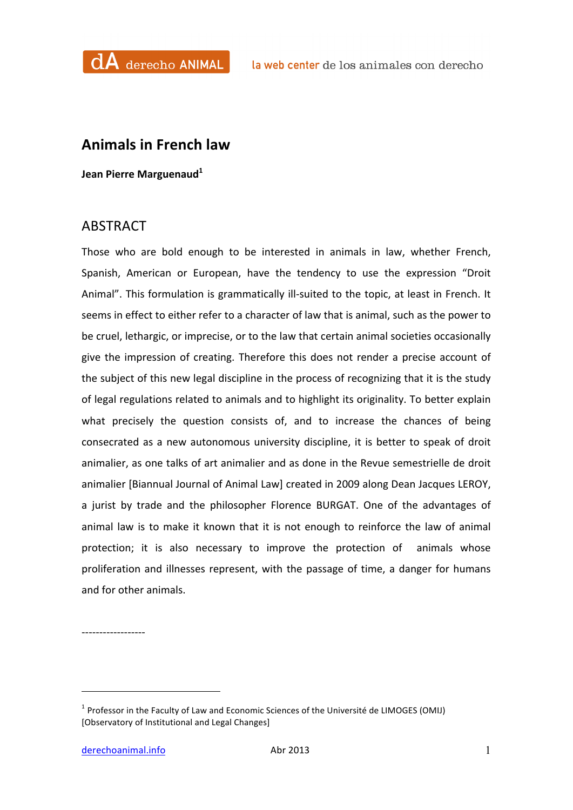

## **Animals in French law**

**Jean Pierre Marguenaud<sup>1</sup>**

## ABSTRACT

Those who are bold enough to be interested in animals in law, whether French, Spanish, American or European, have the tendency to use the expression "Droit Animal". This formulation is grammatically ill-suited to the topic, at least in French. It seems in effect to either refer to a character of law that is animal, such as the power to be cruel, lethargic, or imprecise, or to the law that certain animal societies occasionally give the impression of creating. Therefore this does not render a precise account of the subject of this new legal discipline in the process of recognizing that it is the study of legal regulations related to animals and to highlight its originality. To better explain what precisely the question consists of, and to increase the chances of being consecrated as a new autonomous university discipline, it is better to speak of droit animalier, as one talks of art animalier and as done in the Revue semestrielle de droit animalier [Biannual Journal of Animal Law] created in 2009 along Dean Jacques LEROY, a jurist by trade and the philosopher Florence BURGAT. One of the advantages of animal law is to make it known that it is not enough to reinforce the law of animal protection; it is also necessary to improve the protection of animals whose proliferation and illnesses represent, with the passage of time, a danger for humans and for other animals.

------------------

 

<sup>&</sup>lt;sup>1</sup> Professor in the Faculty of Law and Economic Sciences of the Université de LIMOGES (OMIJ) [Observatory of Institutional and Legal Changes]